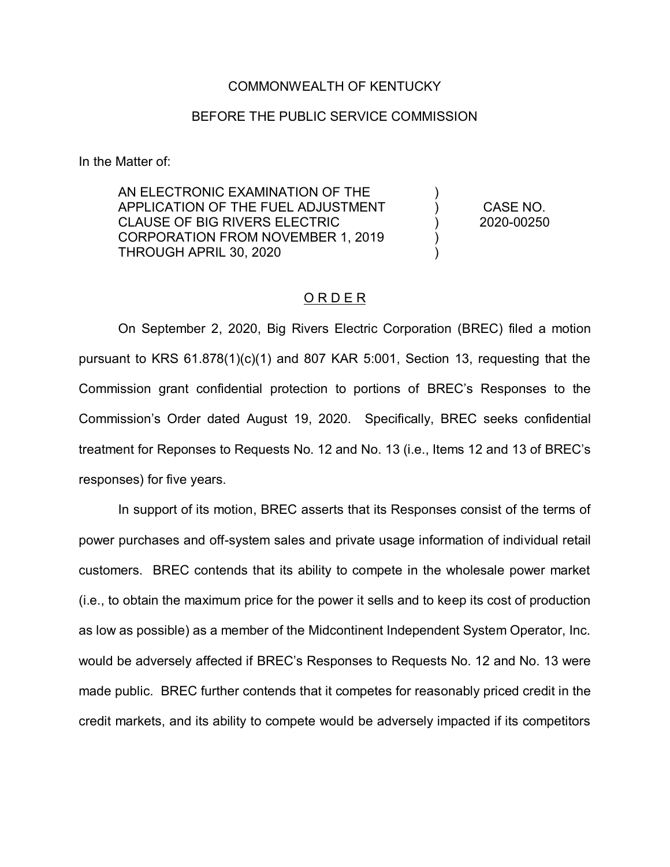## COMMONWEALTH OF KENTUCKY

## BEFORE THE PUBLIC SERVICE COMMISSION

In the Matter of:

AN ELECTRONIC EXAMINATION OF THE APPLICATION OF THE FUEL ADJUSTMENT CLAUSE OF BIG RIVERS ELECTRIC CORPORATION FROM NOVEMBER 1, 2019 THROUGH APRIL 30, 2020 ) ) ) ) ) CASE NO. 2020-00250

## O R D E R

On September 2, 2020, Big Rivers Electric Corporation (BREC) filed a motion pursuant to KRS 61.878(1)(c)(1) and 807 KAR 5:001, Section 13, requesting that the Commission grant confidential protection to portions of BREC's Responses to the Commission's Order dated August 19, 2020. Specifically, BREC seeks confidential treatment for Reponses to Requests No. 12 and No. 13 (i.e., Items 12 and 13 of BREC's responses) for five years.

In support of its motion, BREC asserts that its Responses consist of the terms of power purchases and off-system sales and private usage information of individual retail customers. BREC contends that its ability to compete in the wholesale power market (i.e., to obtain the maximum price for the power it sells and to keep its cost of production as low as possible) as a member of the Midcontinent Independent System Operator, Inc. would be adversely affected if BREC's Responses to Requests No. 12 and No. 13 were made public. BREC further contends that it competes for reasonably priced credit in the credit markets, and its ability to compete would be adversely impacted if its competitors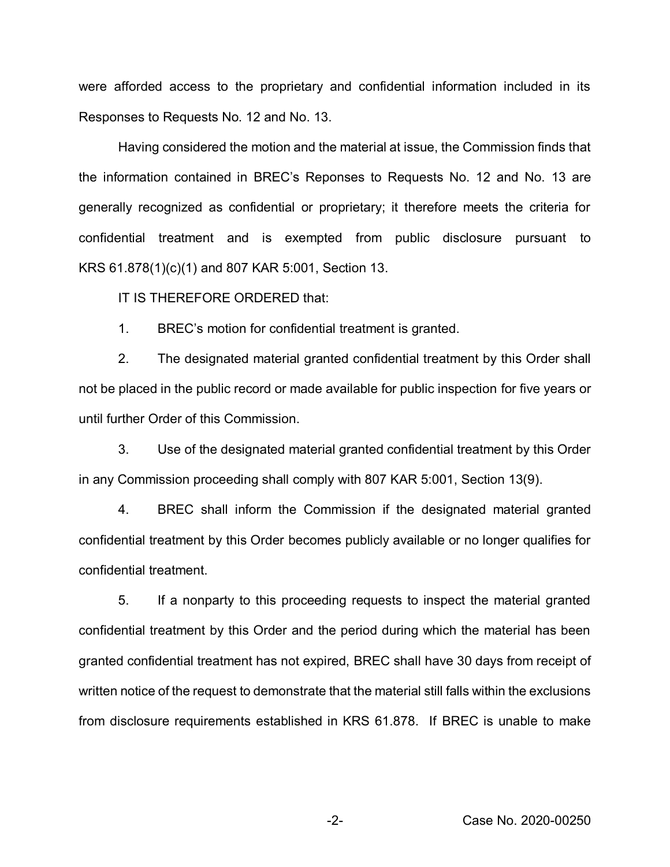were afforded access to the proprietary and confidential information included in its Responses to Requests No. 12 and No. 13.

Having considered the motion and the material at issue, the Commission finds that the information contained in BREC's Reponses to Requests No. 12 and No. 13 are generally recognized as confidential or proprietary; it therefore meets the criteria for confidential treatment and is exempted from public disclosure pursuant to KRS 61.878(1)(c)(1) and 807 KAR 5:001, Section 13.

IT IS THEREFORE ORDERED that:

1. BREC's motion for confidential treatment is granted.

2. The designated material granted confidential treatment by this Order shall not be placed in the public record or made available for public inspection for five years or until further Order of this Commission.

3. Use of the designated material granted confidential treatment by this Order in any Commission proceeding shall comply with 807 KAR 5:001, Section 13(9).

4. BREC shall inform the Commission if the designated material granted confidential treatment by this Order becomes publicly available or no longer qualifies for confidential treatment.

5. If a nonparty to this proceeding requests to inspect the material granted confidential treatment by this Order and the period during which the material has been granted confidential treatment has not expired, BREC shall have 30 days from receipt of written notice of the request to demonstrate that the material still falls within the exclusions from disclosure requirements established in KRS 61.878. If BREC is unable to make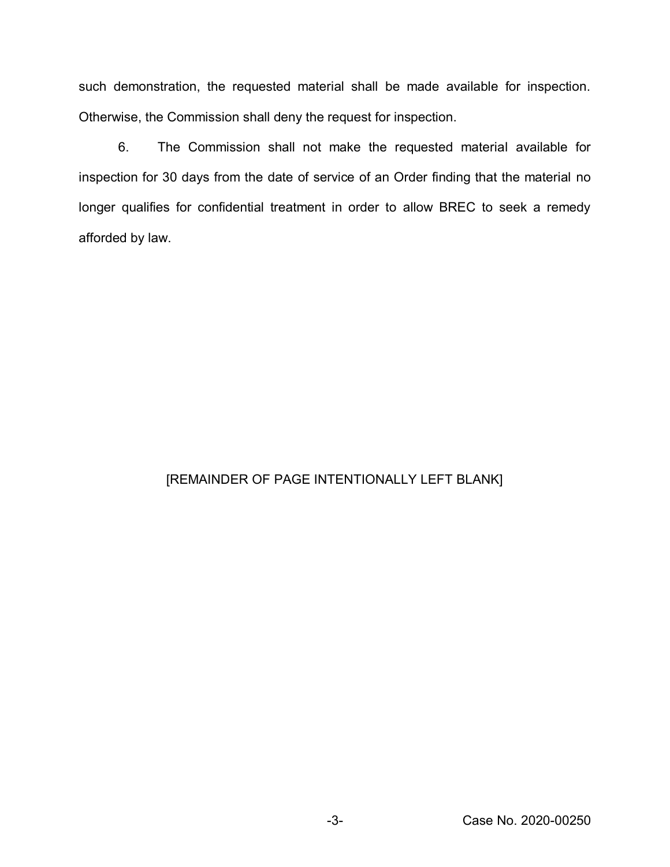such demonstration, the requested material shall be made available for inspection. Otherwise, the Commission shall deny the request for inspection.

6. The Commission shall not make the requested material available for inspection for 30 days from the date of service of an Order finding that the material no longer qualifies for confidential treatment in order to allow BREC to seek a remedy afforded by law.

## [REMAINDER OF PAGE INTENTIONALLY LEFT BLANK]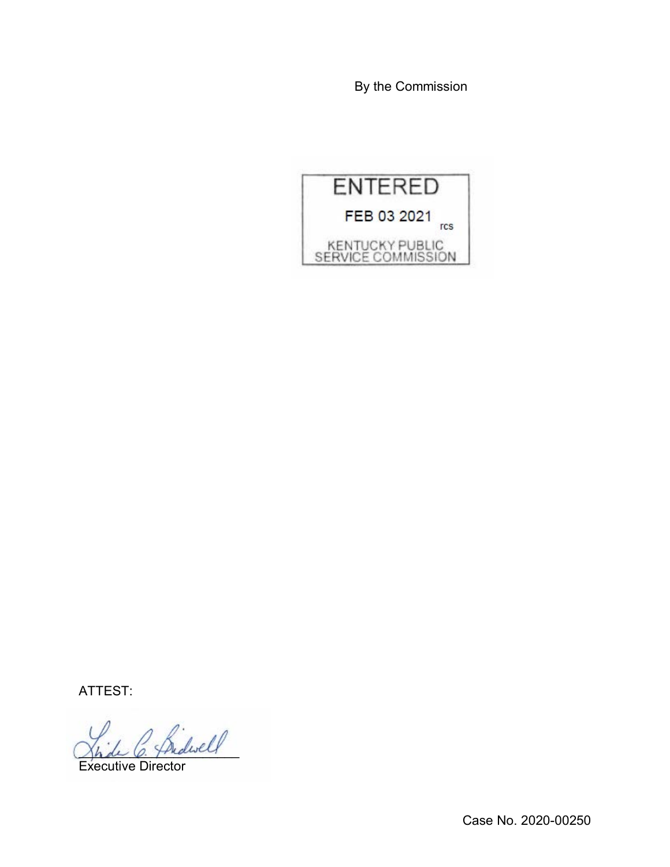By the Commission



ATTEST:

fridwell

Executive Director

Case No. 2020-00250